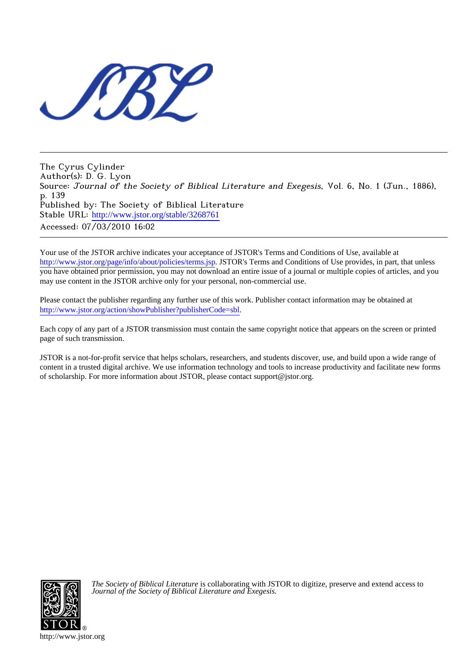

The Cyrus Cylinder Author(s): D. G. Lyon Source: Journal of the Society of Biblical Literature and Exegesis, Vol. 6, No. 1 (Jun., 1886), p. 139 Published by: The Society of Biblical Literature Stable URL: [http://www.jstor.org/stable/3268761](http://www.jstor.org/stable/3268761?origin=JSTOR-pdf) Accessed: 07/03/2010 16:02

Your use of the JSTOR archive indicates your acceptance of JSTOR's Terms and Conditions of Use, available at <http://www.jstor.org/page/info/about/policies/terms.jsp>. JSTOR's Terms and Conditions of Use provides, in part, that unless you have obtained prior permission, you may not download an entire issue of a journal or multiple copies of articles, and you may use content in the JSTOR archive only for your personal, non-commercial use.

Please contact the publisher regarding any further use of this work. Publisher contact information may be obtained at [http://www.jstor.org/action/showPublisher?publisherCode=sbl.](http://www.jstor.org/action/showPublisher?publisherCode=sbl)

Each copy of any part of a JSTOR transmission must contain the same copyright notice that appears on the screen or printed page of such transmission.

JSTOR is a not-for-profit service that helps scholars, researchers, and students discover, use, and build upon a wide range of content in a trusted digital archive. We use information technology and tools to increase productivity and facilitate new forms of scholarship. For more information about JSTOR, please contact support@jstor.org.



*The Society of Biblical Literature* is collaborating with JSTOR to digitize, preserve and extend access to *Journal of the Society of Biblical Literature and Exegesis.*